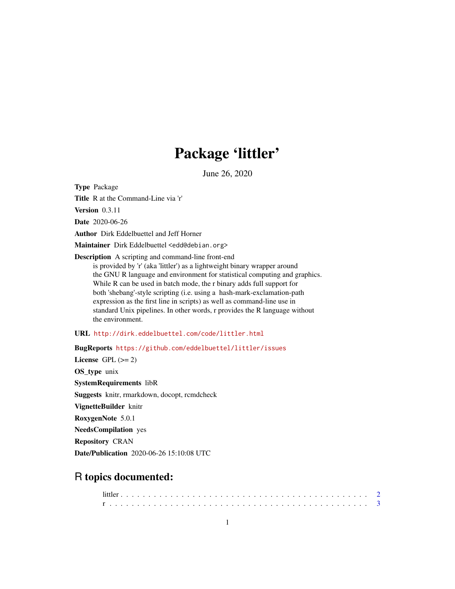## Package 'littler'

June 26, 2020

<span id="page-0-0"></span>Type Package

Title R at the Command-Line via 'r'

Version 0.3.11

Date 2020-06-26

Author Dirk Eddelbuettel and Jeff Horner

Maintainer Dirk Eddelbuettel <edd@debian.org>

Description A scripting and command-line front-end

is provided by 'r' (aka 'littler') as a lightweight binary wrapper around the GNU R language and environment for statistical computing and graphics. While R can be used in batch mode, the r binary adds full support for both 'shebang'-style scripting (i.e. using a hash-mark-exclamation-path expression as the first line in scripts) as well as command-line use in standard Unix pipelines. In other words, r provides the R language without the environment.

URL <http://dirk.eddelbuettel.com/code/littler.html>

BugReports <https://github.com/eddelbuettel/littler/issues>

License GPL  $(>= 2)$ OS\_type unix SystemRequirements libR Suggests knitr, rmarkdown, docopt, rcmdcheck VignetteBuilder knitr RoxygenNote 5.0.1 NeedsCompilation yes Repository CRAN Date/Publication 2020-06-26 15:10:08 UTC

### R topics documented: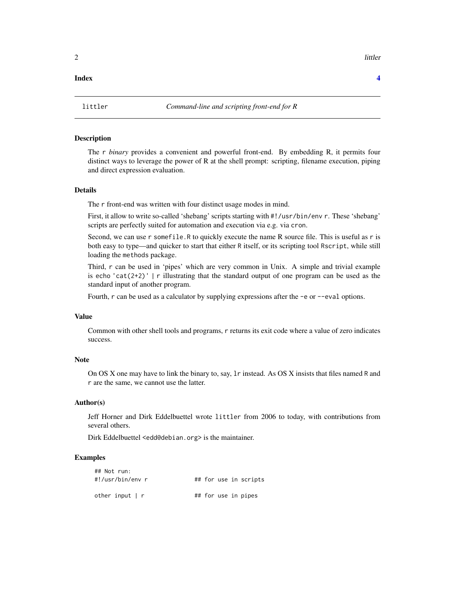#### <span id="page-1-0"></span>**Index** [4](#page-3-0)

#### Description

The r *binary* provides a convenient and powerful front-end. By embedding R, it permits four distinct ways to leverage the power of R at the shell prompt: scripting, filename execution, piping and direct expression evaluation.

#### Details

The r front-end was written with four distinct usage modes in mind.

First, it allow to write so-called 'shebang' scripts starting with #!/usr/bin/env r. These 'shebang' scripts are perfectly suited for automation and execution via e.g. via cron.

Second, we can use r somefile. R to quickly execute the name R source file. This is useful as r is both easy to type—and quicker to start that either R itself, or its scripting tool Rscript, while still loading the methods package.

Third, r can be used in 'pipes' which are very common in Unix. A simple and trivial example is echo 'cat(2+2)' | r illustrating that the standard output of one program can be used as the standard input of another program.

Fourth, r can be used as a calculator by supplying expressions after the -e or --eval options.

#### Value

Common with other shell tools and programs, r returns its exit code where a value of zero indicates success.

#### Note

On OS X one may have to link the binary to, say, lr instead. As OS X insists that files named R and r are the same, we cannot use the latter.

#### Author(s)

Jeff Horner and Dirk Eddelbuettel wrote littler from 2006 to today, with contributions from several others.

Dirk Eddelbuettel <edd@debian.org> is the maintainer.

#### Examples

| ## Not run:           |  |  |                       |
|-----------------------|--|--|-----------------------|
| #!/usr/bin/env r      |  |  | ## for use in scripts |
| other input $\vert$ r |  |  | ## for use in pipes   |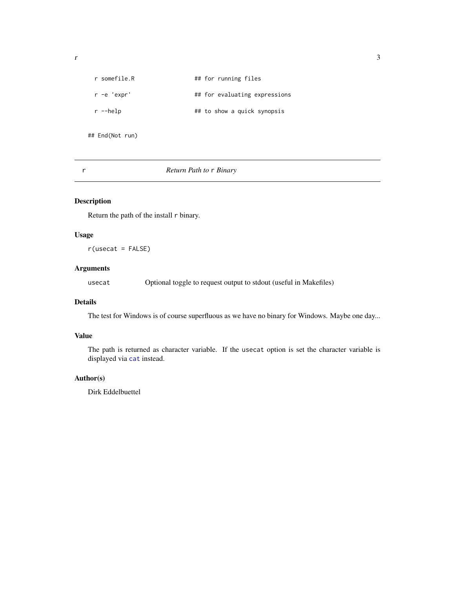<span id="page-2-0"></span>

| r somefile R | ## for running files          |
|--------------|-------------------------------|
| r -e 'expr'  | ## for evaluating expressions |
| r --help     | ## to show a quick synopsis   |
|              |                               |

## End(Not run)

r *Return Path to* r *Binary*

#### Description

Return the path of the install r binary.

#### Usage

 $r$ (usecat = FALSE)

#### Arguments

usecat Optional toggle to request output to stdout (useful in Makefiles)

#### Details

The test for Windows is of course superfluous as we have no binary for Windows. Maybe one day...

#### Value

The path is returned as character variable. If the usecat option is set the character variable is displayed via [cat](#page-0-0) instead.

#### Author(s)

Dirk Eddelbuettel